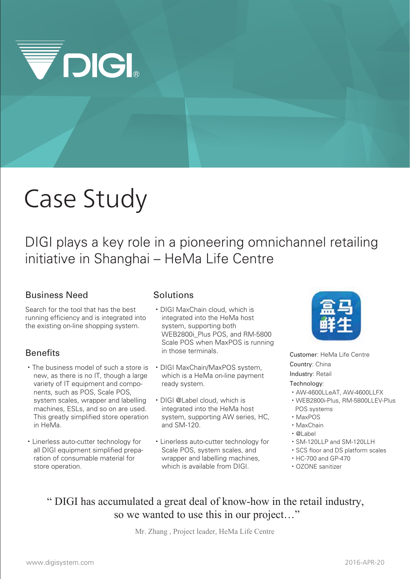

# Case Study

DIGI plays a key role in a pioneering omnichannel retailing initiative in Shanghai – HeMa Life Centre

#### Business Need

Search for the tool that has the best running efficiency and is integrated into the existing on-line shopping system.

### **Benefits**

- ・The business model of such a store is new, as there is no IT, though a large variety of IT equipment and components, such as POS, Scale POS, system scales, wrapper and labelling machines, ESLs, and so on are used. This greatly simplified store operation in HeMa.
- ・Linerless auto-cutter technology for all DIGI equipment simplified preparation of consumable material for store operation.

#### **Solutions**

- ・DIGI MaxChain cloud, which is integrated into the HeMa host system, supporting both WEB2800i\_Plus POS, and RM-5800 Scale POS when MaxPOS is running in those terminals.
- ・DIGI MaxChain/MaxPOS system, which is a HeMa on-line payment ready system.
- ・DIGI @Label cloud, which is integrated into the HeMa host system, supporting AW series, HC, and SM-120.
- ・Linerless auto-cutter technology for Scale POS, system scales, and wrapper and labelling machines, which is available from DIGI.



Customer: HeMa Life Centre Country: China Industry: Retail Technology: ・AW-4600LLeAT, AW-4600LLFX ・WEB2800i-Plus, RM-5800LLEV-Plus POS systems

- ・MaxPOS
- ・MaxChain
- ・@Label
- ・SM-120LLP and SM-120LLH
- ・SCS floor and DS platform scales
- ・HC-700 and GP-470
- ・OZONE sanitizer

" DIGI has accumulated a great deal of know-how in the retail industry, so we wanted to use this in our project…"

Mr. Zhang , Project leader, HeMa Life Centre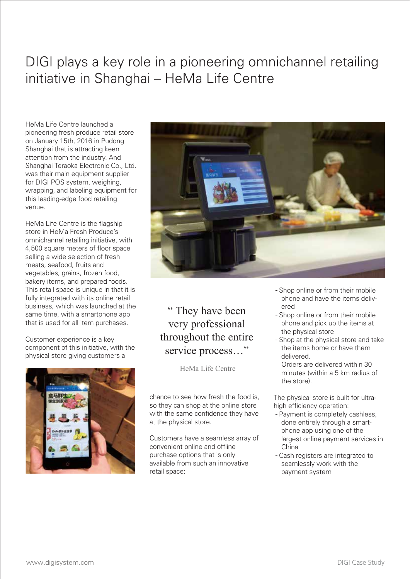## DIGI plays a key role in a pioneering omnichannel retailing initiative in Shanghai – HeMa Life Centre

HeMa Life Centre launched a pioneering fresh produce retail store on January 15th, 2016 in Pudong Shanghai that is attracting keen attention from the industry. And Shanghai Teraoka Electronic Co., Ltd. was their main equipment supplier for DIGI POS system, weighing, wrapping, and labeling equipment for this leading-edge food retailing venue.

HeMa Life Centre is the flagship store in HeMa Fresh Produce's omnichannel retailing initiative, with 4,500 square meters of floor space selling a wide selection of fresh meats, seafood, fruits and vegetables, grains, frozen food, bakery items, and prepared foods. This retail space is unique in that it is fully integrated with its online retail business, which was launched at the same time, with a smartphone app that is used for all item purchases.

Customer experience is a key component of this initiative, with the physical store giving customers a





" They have been very professional throughout the entire service process..."

HeMa Life Centre

chance to see how fresh the food is, so they can shop at the online store with the same confidence they have at the physical store.

Customers have a seamless array of convenient online and offline purchase options that is only available from such an innovative retail space:

- Shop online or from their mobile phone and have the items delivered
- Shop online or from their mobile phone and pick up the items at the physical store
- Shop at the physical store and take the items home or have them delivered.

Orders are delivered within 30 minutes (within a 5 km radius of the store).

The physical store is built for ultrahigh efficiency operation:

- Payment is completely cashless, done entirely through a smartphone app using one of the largest online payment services in China
- Cash registers are integrated to seamlessly work with the payment system